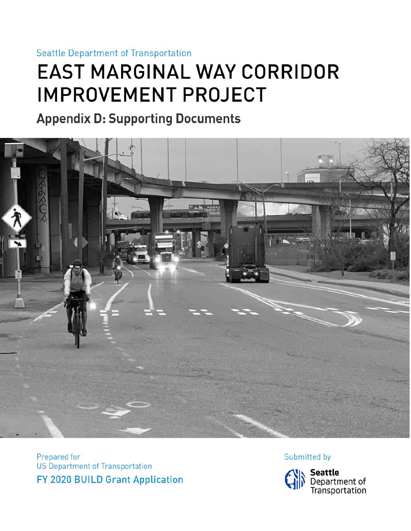### **Seattle Department of Transportation**

# **EAST MARGINAL WAY CORRIDOR IMPROVEMENT PROJECT**

## **Appendix D: Supporting Documents**



Prepared for US Department of Transportation FY 2020 BUILD Grant Application Submitted by

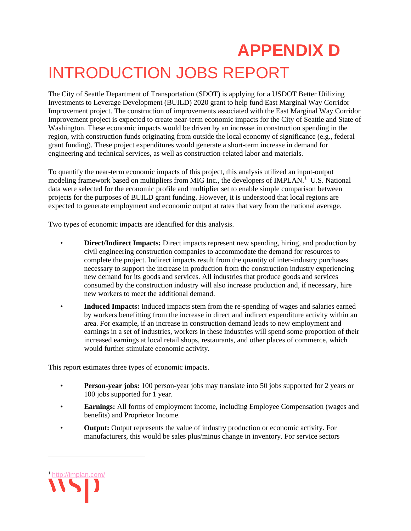# **APPENDIX D** INTRODUCTION JOBS REPORT

The City of Seattle Department of Transportation (SDOT) is applying for a USDOT Better Utilizing Investments to Leverage Development (BUILD) 2020 grant to help fund East Marginal Way Corridor Improvement project. The construction of improvements associated with the East Marginal Way Corridor Improvement project is expected to create near-term economic impacts for the City of Seattle and State of Washington. These economic impacts would be driven by an increase in construction spending in the region, with construction funds originating from outside the local economy of significance (e.g., federal grant funding). These project expenditures would generate a short-term increase in demand for engineering and technical services, as well as construction-related labor and materials.

To quantify the near-term economic impacts of this project, this analysis utilized an input-output modeling framework based on multipliers from MIG Inc., the developers of IMPLAN.<sup>[1](#page-2-0)</sup> U.S. National data were selected for the economic profile and multiplier set to enable simple comparison between projects for the purposes of BUILD grant funding. However, it is understood that local regions are expected to generate employment and economic output at rates that vary from the national average.

Two types of economic impacts are identified for this analysis.

- **Direct/Indirect Impacts:** Direct impacts represent new spending, hiring, and production by civil engineering construction companies to accommodate the demand for resources to complete the project. Indirect impacts result from the quantity of inter-industry purchases necessary to support the increase in production from the construction industry experiencing new demand for its goods and services. All industries that produce goods and services consumed by the construction industry will also increase production and, if necessary, hire new workers to meet the additional demand.
- **Induced Impacts:** Induced impacts stem from the re-spending of wages and salaries earned by workers benefitting from the increase in direct and indirect expenditure activity within an area. For example, if an increase in construction demand leads to new employment and earnings in a set of industries, workers in these industries will spend some proportion of their increased earnings at local retail shops, restaurants, and other places of commerce, which would further stimulate economic activity.

This report estimates three types of economic impacts.

- **Person-year jobs:** 100 person-year jobs may translate into 50 jobs supported for 2 years or 100 jobs supported for 1 year.
- **Earnings:** All forms of employment income, including Employee Compensation (wages and benefits) and Proprietor Income.
- **Output:** Output represents the value of industry production or economic activity. For manufacturers, this would be sales plus/minus change in inventory. For service sectors

<span id="page-2-0"></span>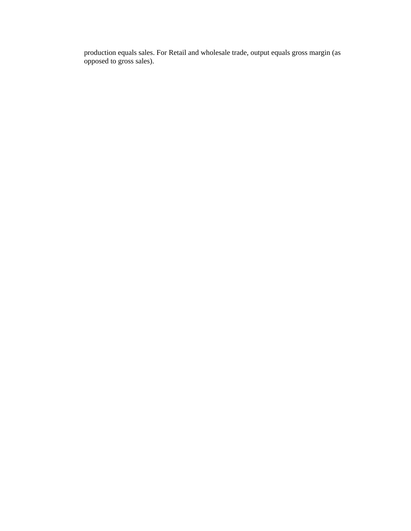production equals sales. For Retail and wholesale trade, output equals gross margin (as opposed to gross sales).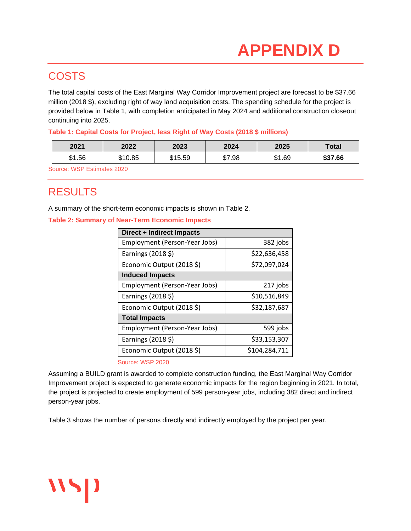### **COSTS**

The total capital costs of the East Marginal Way Corridor Improvement project are forecast to be \$37.66 million (2018 \$), excluding right of way land acquisition costs. The spending schedule for the project is provided below in Table 1, with completion anticipated in May 2024 and additional construction closeout continuing into 2025.

#### **Table 1: Capital Costs for Project, less Right of Way Costs (2018 \$ millions)**

| 2021   | 2022    | 2023    | 2024   | 2025   | Total   |
|--------|---------|---------|--------|--------|---------|
| \$1.56 | \$10.85 | \$15.59 | \$7.98 | \$1.69 | \$37.66 |

Source: WSP Estimates 2020

## RESULTS

**115D** 

A summary of the short-term economic impacts is shown in [Table 2.](#page-4-0)

#### <span id="page-4-0"></span>**Table 2: Summary of Near-Term Economic Impacts**

| Direct + Indirect Impacts     |               |  |  |  |  |
|-------------------------------|---------------|--|--|--|--|
| Employment (Person-Year Jobs) | 382 jobs      |  |  |  |  |
| Earnings (2018 \$)            | \$22,636,458  |  |  |  |  |
| Economic Output (2018 \$)     | \$72,097,024  |  |  |  |  |
| <b>Induced Impacts</b>        |               |  |  |  |  |
| Employment (Person-Year Jobs) | 217 jobs      |  |  |  |  |
| Earnings (2018 \$)            | \$10,516,849  |  |  |  |  |
| Economic Output (2018 \$)     | \$32,187,687  |  |  |  |  |
| <b>Total Impacts</b>          |               |  |  |  |  |
| Employment (Person-Year Jobs) | 599 jobs      |  |  |  |  |
| Earnings (2018 \$)            | \$33,153,307  |  |  |  |  |
| Economic Output (2018 \$)     | \$104,284,711 |  |  |  |  |

<span id="page-4-1"></span>Source: WSP 2020

Assuming a BUILD grant is awarded to complete construction funding, the East Marginal Way Corridor Improvement project is expected to generate economic impacts for the region beginning in 2021. In total, the project is projected to create employment of 599 person-year jobs, including 382 direct and indirect person-year jobs.

[Table 3](#page-4-1) shows the number of persons directly and indirectly employed by the project per year.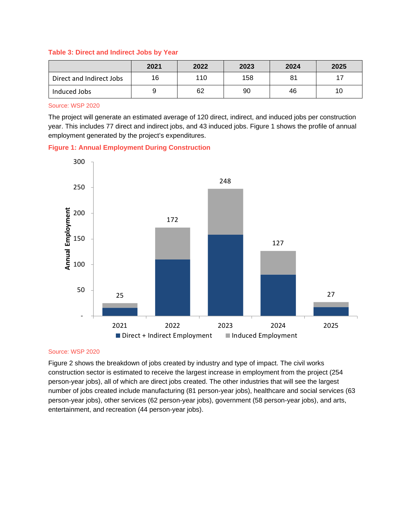#### **Table 3: Direct and Indirect Jobs by Year**

|                          | 2021 | 2022 | 2023 | 2024 | 2025 |
|--------------------------|------|------|------|------|------|
| Direct and Indirect Jobs | 16   | 110  | 158  | 81   |      |
| Induced Jobs             |      | 62   | 90   | 46   |      |

Source: WSP 2020

The project will generate an estimated average of 120 direct, indirect, and induced jobs per construction year. This includes 77 direct and indirect jobs, and 43 induced jobs. [Figure 1](#page-5-0) shows the profile of annual employment generated by the project's expenditures.

<span id="page-5-0"></span>



#### Source: WSP 2020

[Figure 2](#page-6-0) shows the breakdown of jobs created by industry and type of impact. The civil works construction sector is estimated to receive the largest increase in employment from the project (254 person-year jobs), all of which are direct jobs created. The other industries that will see the largest number of jobs created include manufacturing (81 person-year jobs), healthcare and social services (63 person-year jobs), other services (62 person-year jobs), government (58 person-year jobs), and arts, entertainment, and recreation (44 person-year jobs).